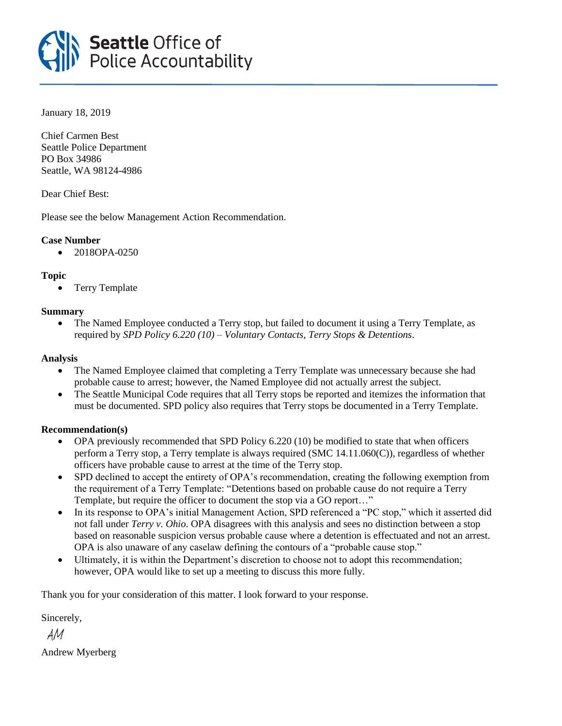

January 18, 2019

Chief Carmen Best Seattle Police Department PO Box 34986 Seattle, WA 98124-4986

Dear Chief Best:

Please see the below Management Action Recommendation.

# **Case Number**

• 2018OPA-0250

# **Topic**

• Terry Template

# **Summary**

• The Named Employee conducted a Terry stop, but failed to document it using a Terry Template, as required by *SPD Policy 6.220 (10) – Voluntary Contacts, Terry Stops & Detentions*.

## **Analysis**

- The Named Employee claimed that completing a Terry Template was unnecessary because she had probable cause to arrest; however, the Named Employee did not actually arrest the subject.
- The Seattle Municipal Code requires that all Terry stops be reported and itemizes the information that must be documented. SPD policy also requires that Terry stops be documented in a Terry Template.

## **Recommendation(s)**

- OPA previously recommended that SPD Policy 6.220 (10) be modified to state that when officers perform a Terry stop, a Terry template is always required (SMC 14.11.060(C)), regardless of whether officers have probable cause to arrest at the time of the Terry stop.
- SPD declined to accept the entirety of OPA's recommendation, creating the following exemption from the requirement of a Terry Template: "Detentions based on probable cause do not require a Terry Template, but require the officer to document the stop via a GO report…"
- In its response to OPA's initial Management Action, SPD referenced a "PC stop," which it asserted did not fall under *Terry v. Ohio*. OPA disagrees with this analysis and sees no distinction between a stop based on reasonable suspicion versus probable cause where a detention is effectuated and not an arrest. OPA is also unaware of any caselaw defining the contours of a "probable cause stop."
- Ultimately, it is within the Department's discretion to choose not to adopt this recommendation; however, OPA would like to set up a meeting to discuss this more fully.

Thank you for your consideration of this matter. I look forward to your response.

Sincerely,

 $AM$ 

Andrew Myerberg